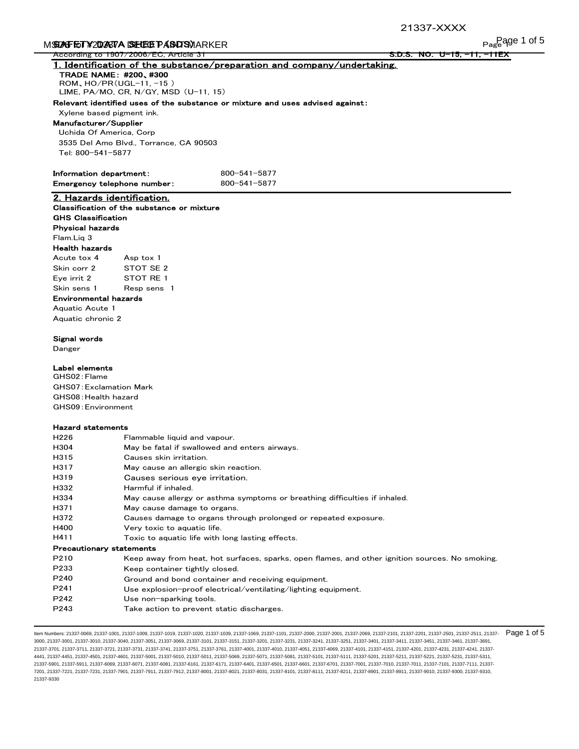## $S$ Safety data sheet is  $S$ areen  $\mathcal{S}$  and  $\mathcal{S}$

|                                                            | M <b>STAFET¥2DASTA SELEGE PÁSADSV</b> IARKER | Page 1 of 5                                                                                     |
|------------------------------------------------------------|----------------------------------------------|-------------------------------------------------------------------------------------------------|
| According to 1907/2006/EC, Article 31                      |                                              | <u>s.d.s. No. U-15, -11, -11EX</u>                                                              |
|                                                            |                                              | 1. Identification of the substance/preparation and company/undertaking.                         |
| <b>TRADE NAME: #200, #300</b><br>ROM, $HO/PR(UGL-11, -15)$ |                                              |                                                                                                 |
| LIME, PA/MO, CR, N/GY, MSD $(U-11, 15)$                    |                                              |                                                                                                 |
|                                                            |                                              | Relevant identified uses of the substance or mixture and uses advised against:                  |
| Xylene based pigment ink.                                  |                                              |                                                                                                 |
| Manufacturer/Supplier                                      |                                              |                                                                                                 |
| Uchida Of America, Corp                                    |                                              |                                                                                                 |
| 3535 Del Amo Blvd., Torrance, CA 90503                     |                                              |                                                                                                 |
| Tel: 800-541-5877                                          |                                              |                                                                                                 |
| Information department:                                    |                                              | 800-541-5877                                                                                    |
| Emergency telephone number:                                |                                              | 800-541-5877                                                                                    |
| 2. Hazards identification.                                 |                                              |                                                                                                 |
| Classification of the substance or mixture                 |                                              |                                                                                                 |
| <b>GHS Classification</b>                                  |                                              |                                                                                                 |
| <b>Physical hazards</b>                                    |                                              |                                                                                                 |
| Flam.Liq 3                                                 |                                              |                                                                                                 |
| <b>Health hazards</b>                                      |                                              |                                                                                                 |
| Acute tox 4                                                | Asp tox 1                                    |                                                                                                 |
| Skin corr 2                                                | STOT SE 2                                    |                                                                                                 |
| Eye irrit 2                                                | STOT RE 1                                    |                                                                                                 |
| Skin sens 1                                                | Resp sens 1                                  |                                                                                                 |
| Environmental hazards                                      |                                              |                                                                                                 |
| Aquatic Acute 1<br>Aquatic chronic 2                       |                                              |                                                                                                 |
|                                                            |                                              |                                                                                                 |
| Signal words                                               |                                              |                                                                                                 |
| Danger                                                     |                                              |                                                                                                 |
| Label elements                                             |                                              |                                                                                                 |
| GHS02: Flame                                               |                                              |                                                                                                 |
| <b>GHS07: Exclamation Mark</b>                             |                                              |                                                                                                 |
| GHS08: Health hazard                                       |                                              |                                                                                                 |
| GHS09: Environment                                         |                                              |                                                                                                 |
| <b>Hazard statements</b>                                   |                                              |                                                                                                 |
| H <sub>226</sub>                                           | Flammable liquid and vapour.                 |                                                                                                 |
| H304                                                       |                                              | May be fatal if swallowed and enters airways.                                                   |
| H315                                                       | Causes skin irritation.                      |                                                                                                 |
| H317                                                       |                                              | May cause an allergic skin reaction.                                                            |
| H319                                                       | Causes serious eye irritation.               |                                                                                                 |
| H332                                                       | Harmful if inhaled.                          |                                                                                                 |
| H334                                                       |                                              | May cause allergy or asthma symptoms or breathing difficulties if inhaled.                      |
| H371                                                       | May cause damage to organs.                  |                                                                                                 |
| H372                                                       |                                              | Causes damage to organs through prolonged or repeated exposure.                                 |
| H400                                                       | Very toxic to aquatic life.                  |                                                                                                 |
| H411                                                       |                                              | Toxic to aquatic life with long lasting effects.                                                |
| <b>Precautionary statements</b>                            |                                              |                                                                                                 |
| P210                                                       |                                              | Keep away from heat, hot surfaces, sparks, open flames, and other ignition sources. No smoking. |
| P233<br>P240                                               | Keep container tightly closed.               |                                                                                                 |
| P241                                                       |                                              | Ground and bond container and receiving equipment.                                              |
| P242                                                       | Use non-sparking tools.                      | Use explosion-proof electrical/ventilating/lighting equipment.                                  |
|                                                            |                                              | Take action to prevent static discharges.                                                       |
| P243                                                       |                                              |                                                                                                 |

ltem Numbers: 21337-0069, 21337-1001, 21337-1009, 21337-1019, 21337-1020, 21337-1039, 21337-1089, 21337-1069, 21337-2000, 21337-2001, 21337-2009, 21337-2201, 21337-2201, 21337-2501, 21337-2501, 21337-2501, 21337-2501, 2133 3000, 21337-3001, 21337-3010, 21337-3040, 21337-3051, 21337-3069, 21337-3101, 21337-3151, 21337-3201, 21337-3231, 21337-3241, 21337-3251, 21337-3401, 21337-3411, 21337-3451, 21337-3461, 21337-3691, 21337-3701, 21337-3711, 21337-3721, 21337-3731, 21337-3741, 21337-3751, 21337-3761, 21337-4001, 21337-4010, 21337-4051, 21337-4069, 21337-4101, 21337-4151, 21337-4201, 21337-4231, 21337-4241, 21337- 4441, 21337-4451, 21337-4501, 21337-4601, 21337-5001, 21337-5010, 21337-5011, 21337-5069, 21337-5071, 21337-5081, 21337-5101, 21337-5111, 21337-5201, 21337-5211, 21337-5221, 21337-5231, 21337-5311, 21337-5901, 21337-5911, 21337-6069, 21337-6071, 21337-6081, 21337-6161, 21337-6171, 21337-6401, 21337-6501, 21337-6601, 21337-6701, 21337-7001, 21337-7010, 21337-7011, 21337-7101, 21337-7111, 21337- 7201, 21337-7221, 21337-7231, 21337-7901, 21337-7911, 21337-7912, 21337-8001, 21337-8021, 21337-8031, 21337-8101, 21337-8111, 21337-8211, 21337-8901, 21337-8911, 21337-9010, 21337-9300, 21337-9310, 21337-9330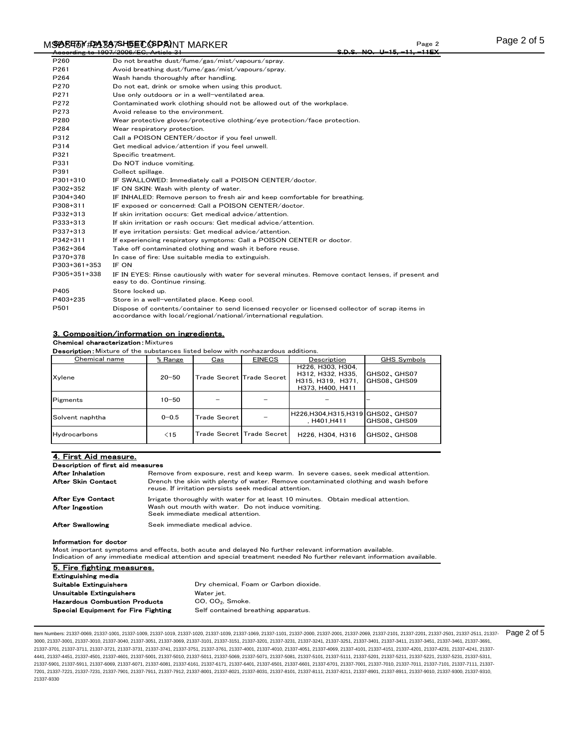#### M**SD5F15Y#2A1337SH5ET (SPA)**NT MARKER NATA SHEET ALL DATA SHEET ALL DATA SHEET ALL DATA SHEET ALL DATA SHEET ALL Page 2 According to 1907/2006/EC, Article 31 S.D.S. NO. U-15, -11, -11EX

| P260             | Do not breathe dust/fume/gas/mist/vapours/spray.                                                                                                                     |
|------------------|----------------------------------------------------------------------------------------------------------------------------------------------------------------------|
| P261             | Avoid breathing dust/fume/gas/mist/vapours/spray.                                                                                                                    |
| P264             | Wash hands thoroughly after handling.                                                                                                                                |
| P270             | Do not eat, drink or smoke when using this product.                                                                                                                  |
| P <sub>271</sub> | Use only outdoors or in a well-ventilated area.                                                                                                                      |
| P <sub>272</sub> | Contaminated work clothing should not be allowed out of the workplace.                                                                                               |
| P273             | Avoid release to the environment.                                                                                                                                    |
| P280             | Wear protective gloves/protective clothing/eye protection/face protection.                                                                                           |
| P284             | Wear respiratory protection.                                                                                                                                         |
| P312             | Call a POISON CENTER/doctor if you feel unwell.                                                                                                                      |
| P314             | Get medical advice/attention if you feel unwell.                                                                                                                     |
| P321             | Specific treatment.                                                                                                                                                  |
| P331             | Do NOT induce vomiting.                                                                                                                                              |
| P391             | Collect spillage.                                                                                                                                                    |
| P301+310         | IF SWALLOWED: Immediately call a POISON CENTER/doctor.                                                                                                               |
| P302+352         | IF ON SKIN: Wash with plenty of water.                                                                                                                               |
| P304+340         | IF INHALED: Remove person to fresh air and keep comfortable for breathing.                                                                                           |
| P308+311         | IF exposed or concerned: Call a POISON CENTER/doctor.                                                                                                                |
| P332+313         | If skin irritation occurs: Get medical advice/attention.                                                                                                             |
| P333+313         | If skin irritation or rash occurs: Get medical advice/attention.                                                                                                     |
| P337+313         | If eye irritation persists: Get medical advice/attention.                                                                                                            |
| P342+311         | If experiencing respiratory symptoms: Call a POISON CENTER or doctor.                                                                                                |
| P362+364         | Take off contaminated clothing and wash it before reuse.                                                                                                             |
| P370+378         | In case of fire: Use suitable media to extinguish.                                                                                                                   |
| P303+361+353     | IF ON                                                                                                                                                                |
| P305+351+338     | IF IN EYES: Rinse cautiously with water for several minutes. Remove contact lenses, if present and<br>easy to do. Continue rinsing.                                  |
| P405             | Store locked up.                                                                                                                                                     |
| P403+235         | Store in a well-ventilated place. Keep cool.                                                                                                                         |
| P501             | Dispose of contents/container to send licensed recycler or licensed collector of scrap items in<br>accordance with local/regional/national/international regulation. |

### 3. Composition/information on ingredients.

**Chemical characterization: Mixtures** 

**Description:** Mixture of the substances listed below with nonhazardous additions.

| Chemical name   | % Range   | $\frac{Cas}{ }$     | <b>EINECS</b>             | Description                                                                     | GHS Symbols                 |
|-----------------|-----------|---------------------|---------------------------|---------------------------------------------------------------------------------|-----------------------------|
| Xylene          | $20 - 50$ |                     | Trade Secret Trade Secret | H226, H303, H304.<br>H312, H332, H335,<br>H315, H319, H371.<br>H373, H400, H411 | GHS02、GHS07<br>GHS08, GHS09 |
| Pigments        | $10 - 50$ |                     |                           |                                                                                 |                             |
| Solvent naphtha | $0 - 0.5$ | <b>Trade Secret</b> |                           | H226.H304.H315.H319 GHS02, GHS07<br>, H401, H411                                | GHS08, GHS09                |
| Hydrocarbons    | $\leq 15$ |                     | Trade Secret Trade Secret | H226, H304, H316                                                                | GHS02, GHS08                |

#### 4. First Aid measure. Description of first aid measures Irrigate thoroughly with water for at least 10 minutes. Obtain medical attention. After Swallowing Seek immediate medical advice. After Eye Contact After Ingestion **Wash out mouth with water.** Do not induce vomiting. Seek immediate medical attention. After Inhalation **Remove from exposure, rest and keep warm**. In severe cases, seek medical attention. After Skin Contact Drench the skin with plenty of water. Remove contaminated clothing and wash before reuse. If irritation persists seek medical attention.

#### Information for doctor

Most important symptoms and effects, both acute and delayed No further relevant information available. Indication of any immediate medical attention and special treatment needed No further relevant information available.

| 5. Fire fighting measures.                 |                                       |
|--------------------------------------------|---------------------------------------|
| Extinguishing media                        |                                       |
| Suitable Extinguishers                     | Dry chemical, Foam or Carbon dioxide. |
| Unsuitable Extinguishers                   | Water jet.                            |
| <b>Hazardous Combustion Products</b>       | CO, CO <sub>2</sub> , Smoke.          |
| <b>Special Equipment for Fire Fighting</b> | Self contained breathing apparatus.   |

ltem Numbers: 21337-0069, 21337-1001, 21337-1009, 21337-1019, 21337-1020, 21337-1039, 21337-1089, 21337-1069, 21337-2000, 21337-2000, 21337-2000, 21337-2101, 21337-2201, 21337-2501, 21337-2501, 21337-2501, 21337-2501, 2133 3000, 21337-3001, 21337-3010, 21337-3040, 21337-3051, 21337-3069, 21337-3101, 21337-3151, 21337-3201, 21337-3231, 21337-3241, 21337-3251, 21337-3401, 21337-3411, 21337-3451, 21337-3461, 21337-3691, 21337-3701, 21337-3711, 21337-3721, 21337-3731, 21337-3741, 21337-3751, 21337-3761, 21337-4001, 21337-4010, 21337-4051, 21337-4069, 21337-4101, 21337-4151, 21337-4201, 21337-4231, 21337-4241, 21337- 4441, 21337-4451, 21337-4501, 21337-4601, 21337-5001, 21337-5010, 21337-5011, 21337-5069, 21337-5071, 21337-5081, 21337-5101, 21337-5111, 21337-5201, 21337-5211, 21337-5221, 21337-5231, 21337-5311, 21337-5901, 21337-5911, 21337-6069, 21337-6071, 21337-6081, 21337-6161, 21337-6171, 21337-6401, 21337-6501, 21337-6601, 21337-6701, 21337-7001, 21337-7010, 21337-7011, 21337-7101, 21337-7111, 21337- 7201, 21337-7221, 21337-7231, 21337-7901, 21337-7911, 21337-7912, 21337-8001, 21337-8021, 21337-8031, 21337-8101, 21337-8111, 21337-8211, 21337-8901, 21337-8911, 21337-9010, 21337-9300, 21337-9310, 21337-9330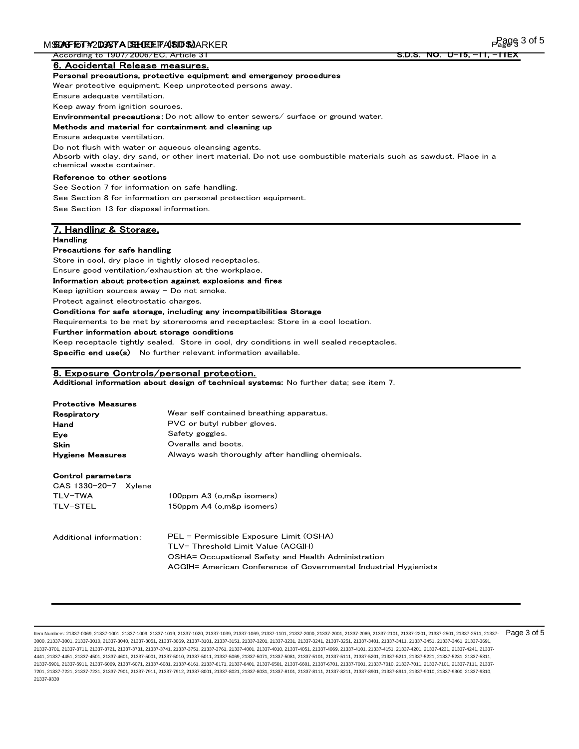According to 1907/2006/EC, Article 31

6. Accidental Release measures.

#### Personal precautions, protective equipment and emergency procedures

Wear protective equipment. Keep unprotected persons away.

Ensure adequate ventilation.

Keep away from ignition sources.

Environmental precautions:Do not allow to enter sewers/ surface or ground water.

### Methods and material for containment and cleaning up

Ensure adequate ventilation.

Do not flush with water or aqueous cleansing agents.

Absorb with clay, dry sand, or other inert material. Do not use combustible materials such as sawdust. Place in a chemical waste container.

### Reference to other sections

See Section 7 for information on safe handling.

See Section 8 for information on personal protection equipment.

See Section 13 for disposal information.

### 7. Handling & Storage. Handling

### Precautions for safe handling

Store in cool, dry place in tightly closed receptacles.

Ensure good ventilation/exhaustion at the workplace.

### Information about protection against explosions and fires

Keep ignition sources away  $-$  Do not smoke.

Protect against electrostatic charges.

### Conditions for safe storage, including any incompatibilities Storage

Requirements to be met by storerooms and receptacles: Store in a cool location.

Further information about storage conditions

Keep receptacle tightly sealed. Store in cool, dry conditions in well sealed receptacles. Specific end use(s) No further relevant information available.

#### 8. Exposure Controls/personal protection.

Additional information about design of technical systems: No further data; see item 7.

### Protective Measures

| Respiratory             | Wear self contained breathing apparatus.         |
|-------------------------|--------------------------------------------------|
| Hand                    | PVC or butyl rubber gloves.                      |
| Eve                     | Safety goggles.                                  |
| Skin                    | Overalls and boots.                              |
| <b>Hygiene Measures</b> | Always wash thoroughly after handling chemicals. |

#### Control parameters

| CAS 1330-20-7 Xvlene |              |
|----------------------|--------------|
| TLV-TWA              | $100$ ppm A3 |
| TLV-STEL             | 150ppm A4    |
|                      |              |

Additional information: PEL = Permissible Exposure Limit (OSHA) TLV= Threshold Limit Value (ACGIH) OSHA= Occupational Safety and Health Administration ACGIH= American Conference of Governmental Industrial Hygienists

 $($ o,m $&$ p isomers $)$  $($ o,m&p isomers $)$ 

ltem Numbers: 21337-0069, 21337-1001, 21337-1009, 21337-1019, 21337-1020, 21337-1039, 21337-1089, 21337-1069, 21337-2000, 21337-2001, 21337-2009, 21337-2101, 21337-2201, 21337-2501, 21337-2501, 21337-2501, 21337-2501, 2133 3000, 21337-3001, 21337-3010, 21337-3040, 21337-3051, 21337-3069, 21337-3101, 21337-3151, 21337-3201, 21337-3231, 21337-3241, 21337-3251, 21337-3401, 21337-3411, 21337-3451, 21337-3461, 21337-3691, 21337-3701, 21337-3711, 21337-3721, 21337-3731, 21337-3741, 21337-3751, 21337-3761, 21337-4001, 21337-4010, 21337-4051, 21337-4069, 21337-4101, 21337-4151, 21337-4201, 21337-4231, 21337-4241, 21337- 4441, 21337-4451, 21337-4501, 21337-4601, 21337-5001, 21337-5010, 21337-5061, 21337-5069, 21337-5081, 21337-5081, 21337-5101, 21337-5111, 21337-5201, 21337-5211, 21337-521, 21337-521, 21337-5231, 21337-5231, 21337-5231, 213 21337-5901, 21337-5911, 21337-6069, 21337-6071, 21337-6081, 21337-6161, 21337-6171, 21337-6401, 21337-6501, 21337-6601, 21337-6701, 21337-7001, 21337-7010, 21337-7011, 21337-7101, 21337-7111, 21337- 7201, 21337-7221, 21337-7231, 21337-7901, 21337-7911, 21337-7912, 21337-8001, 21337-8021, 21337-8031, 21337-8101, 21337-8111, 21337-8211, 21337-8901, 21337-8911, 21337-9010, 21337-9300, 21337-9310, 21337-9330

<u>S.D.S. NO. U-15, -11,</u>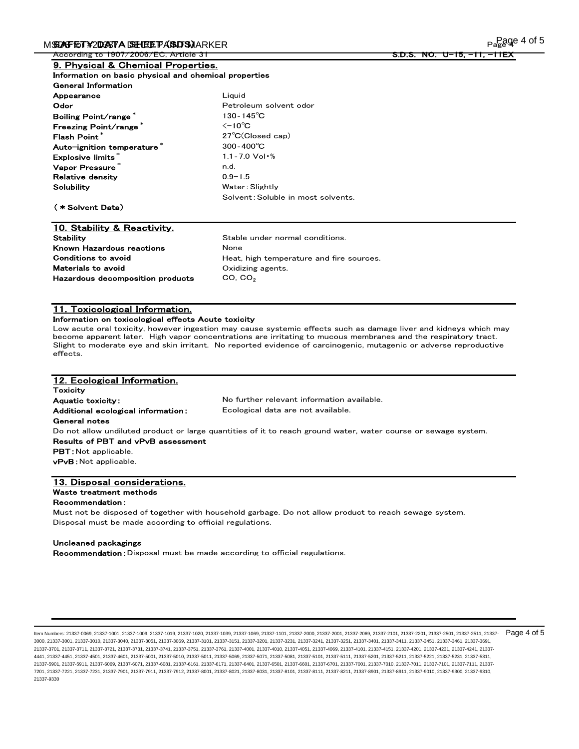S.D.S. NO. U-15, -11,

age 4 of 5

| Information on basic physical and chemical properties |
|-------------------------------------------------------|
|                                                       |
| Liquid                                                |
| Petroleum solvent odor                                |
| 130-145 $^{\circ}$ C                                  |
| $\leq$ -10 $^{\circ}$ C                               |
| $27^{\circ}$ C(Closed cap)                            |
| $300 - 400^{\circ}C$                                  |
| $1.1 - 7.0$ Vol $\cdot$ %                             |
| n.d.                                                  |
| $0.9 - 1.5$                                           |
| Water: Slightly                                       |
| Solvent: Soluble in most solvents.                    |
|                                                       |
|                                                       |

### 10. Stability & Reactivity. Stability **Stability** Stable under normal conditions. Known Hazardous reactions **None** Hazardous decomposition products  $CO, CO<sub>2</sub>$ Materials to avoid Conditions to avoid

Heat, high temperature and fire sources. Oxidizing agents.

### 11. Toxicological Information.

### Information on toxicological effects Acute toxicity

Low acute oral toxicity, however ingestion may cause systemic effects such as damage liver and kidneys which may become apparent later. High vapor concentrations are irritating to mucous membranes and the respiratory tract. Slight to moderate eye and skin irritant. No reported evidence of carcinogenic, mutagenic or adverse reproductive effects.

| 12. Ecological Information.        |                                                                                                                |
|------------------------------------|----------------------------------------------------------------------------------------------------------------|
| <b>Toxicity</b>                    |                                                                                                                |
| <b>Aquatic toxicity:</b>           | No further relevant information available.                                                                     |
| Additional ecological information: | Ecological data are not available.                                                                             |
| <b>General notes</b>               |                                                                                                                |
|                                    | Do not allow undiluted product or large quantities of it to reach ground water, water course or sewage system. |
| Results of PBT and vPvB assessment |                                                                                                                |
| <b>PBT</b> : Not applicable.       |                                                                                                                |
| <b>vPvB</b> : Not applicable.      |                                                                                                                |
|                                    |                                                                                                                |
| 13. Disposal considerations.       |                                                                                                                |
| Waste treatment methods            |                                                                                                                |
|                                    |                                                                                                                |

### Recommendation:

Must not be disposed of together with household garbage. Do not allow product to reach sewage system. Disposal must be made according to official regulations.

#### Uncleaned packagings

Recommendation:Disposal must be made according to official regulations.

ltem Numbers: 21337-0069, 21337-1001, 21337-1009, 21337-1019, 21337-1020, 21337-1039, 21337-1089, 21337-1069, 21337-2000, 21337-2001, 21337-2009, 21337-2101, 21337-2201, 21337-2501, 21337-2501, 21337-2501, 21337-2501, 2133 3000, 21337-3001, 21337-3010, 21337-3040, 21337-3051, 21337-3069, 21337-3101, 21337-3151, 21337-3201, 21337-3231, 21337-3241, 21337-3251, 21337-3401, 21337-3411, 21337-3451, 21337-3461, 21337-3691, 21337-3701, 21337-3711, 21337-3721, 21337-3731, 21337-3741, 21337-3751, 21337-3761, 21337-4001, 21337-4010, 21337-4051, 21337-4069, 21337-4101, 21337-4151, 21337-4201, 21337-4231, 21337-4241, 21337- 4441, 21337-4451, 21337-4501, 21337-4601, 21337-5001, 21337-5010, 21337-5011, 21337-5069, 21337-5071, 21337-5081, 21337-5101, 21337-5111, 21337-5201, 21337-5211, 21337-5221, 21337-5231, 21337-5311, 21337-5901, 21337-5911, 21337-6069, 21337-6071, 21337-6081, 21337-6161, 21337-6171, 21337-6401, 21337-6501, 21337-6601, 21337-6701, 21337-7001, 21337-7010, 21337-7011, 21337-7101, 21337-7111, 21337- 7201, 21337-7221, 21337-7231, 21337-7901, 21337-7911, 21337-7912, 21337-8001, 21337-8021, 21337-8031, 21337-8101, 21337-8111, 21337-8211, 21337-8901, 21337-8911, 21337-9010, 21337-9300, 21337-9310, 21337-9330